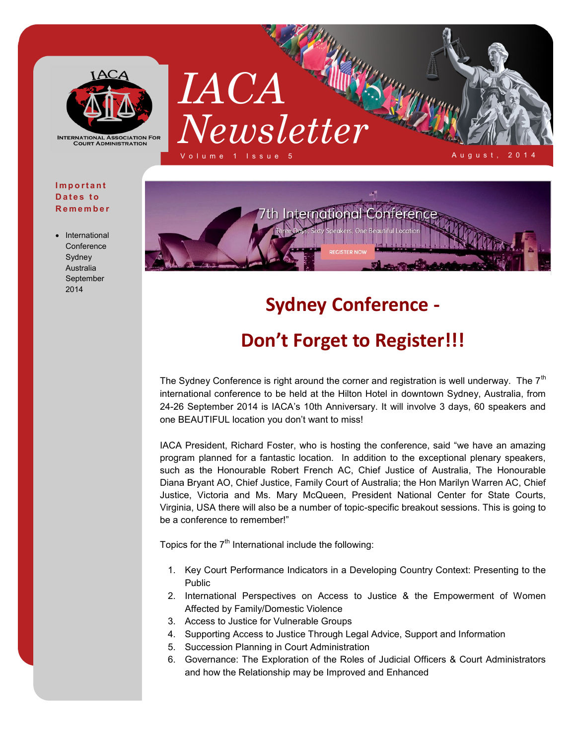

**INTERNATIONAL ASSOCIATION FOR COURT ADMINISTRATION** 

#### **I m p o r t a n t**  Dates to **R e m e m b e r**

 International **Conference** Sydney Australia September 2014





# **Sydney Conference -**

## **Don't Forget to Register!!!**

The Sydney Conference is right around the corner and registration is well underway. The  $7<sup>th</sup>$ international conference to be held at the Hilton Hotel in downtown Sydney, Australia, from 24-26 September 2014 is IACA's 10th Anniversary. It will involve 3 days, 60 speakers and one BEAUTIFUL location you don't want to miss!

IACA President, Richard Foster, who is hosting the conference, said "we have an amazing program planned for a fantastic location. In addition to the exceptional plenary speakers, such as the Honourable Robert French AC, Chief Justice of Australia, The Honourable Diana Bryant AO, Chief Justice, Family Court of Australia; the Hon Marilyn Warren AC, Chief Justice, Victoria and Ms. Mary McQueen, President National Center for State Courts, Virginia, USA there will also be a number of topic-specific breakout sessions. This is going to be a conference to remember!"

Topics for the  $7<sup>th</sup>$  International include the following:

- 1. Key Court Performance Indicators in a Developing Country Context: Presenting to the Public
- 2. International Perspectives on Access to Justice & the Empowerment of Women Affected by Family/Domestic Violence
- 3. Access to Justice for Vulnerable Groups
- 4. Supporting Access to Justice Through Legal Advice, Support and Information
- 5. Succession Planning in Court Administration
- 6. Governance: The Exploration of the Roles of Judicial Officers & Court Administrators and how the Relationship may be Improved and Enhanced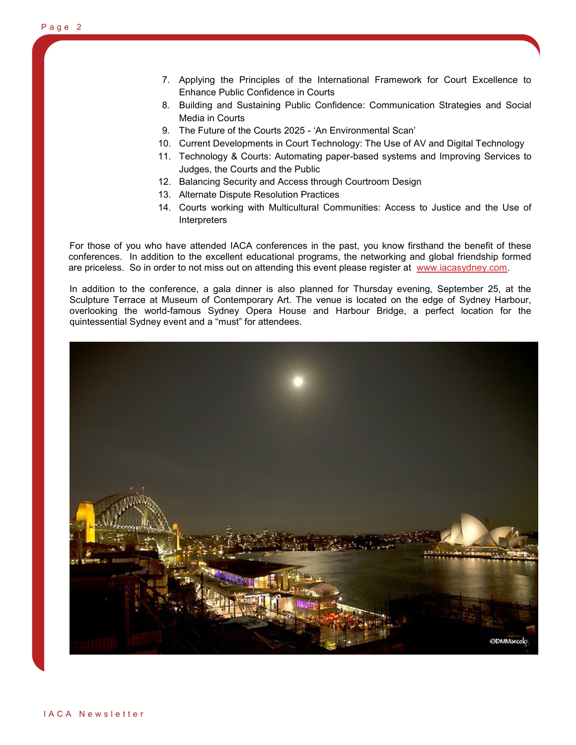- 7. Applying the Principles of the International Framework for Court Excellence to Enhance Public Confidence in Courts
- 8. Building and Sustaining Public Confidence: Communication Strategies and Social Media in Courts
- 9. The Future of the Courts 2025 'An Environmental Scan'
- 10. Current Developments in Court Technology: The Use of AV and Digital Technology
- 11. Technology & Courts: Automating paper-based systems and Improving Services to Judges, the Courts and the Public
- 12. Balancing Security and Access through Courtroom Design
- 13. Alternate Dispute Resolution Practices
- 14. Courts working with Multicultural Communities: Access to Justice and the Use of **Interpreters**

For those of you who have attended IACA conferences in the past, you know firsthand the benefit of these conferences. In addition to the excellent educational programs, the networking and global friendship formed are priceless. So in order to not miss out on attending this event please register at [www.iacasydney.com.](http://www.iacasydney.com)

In addition to the conference, a gala dinner is also planned for Thursday evening, September 25, at the Sculpture Terrace at Museum of Contemporary Art. The venue is located on the edge of Sydney Harbour, overlooking the world-famous Sydney Opera House and Harbour Bridge, a perfect location for the quintessential Sydney event and a "must" for attendees.

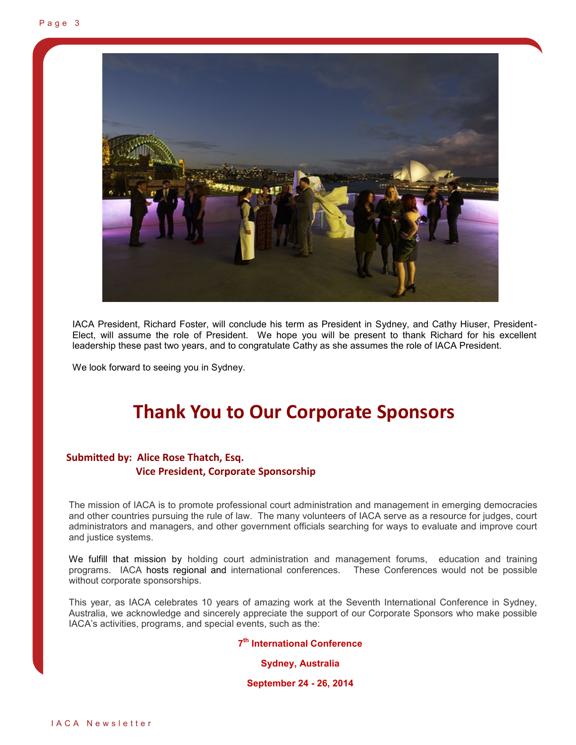

IACA President, Richard Foster, will conclude his term as President in Sydney, and Cathy Hiuser, President-Elect, will assume the role of President. We hope you will be present to thank Richard for his excellent leadership these past two years, and to congratulate Cathy as she assumes the role of IACA President.

We look forward to seeing you in Sydney.

## **Thank You to Our Corporate Sponsors**

### **Submitted by: Alice Rose Thatch, Esq. Vice President, Corporate Sponsorship**

The mission of IACA is to promote professional court administration and management in emerging democracies and other countries pursuing the rule of law. The many volunteers of IACA serve as a resource for judges, court administrators and managers, and other government officials searching for ways to evaluate and improve court and justice systems.

We fulfill that mission by holding court administration and management forums, education and training programs. IACA hosts regional and international conferences. These Conferences would not be possible without corporate sponsorships.

This year, as IACA celebrates 10 years of amazing work at the Seventh International Conference in Sydney, Australia, we acknowledge and sincerely appreciate the support of our Corporate Sponsors who make possible IACA's activities, programs, and special events, such as the:

**7 th International Conference** 

**Sydney, Australia** 

**September 24 - 26, 2014**